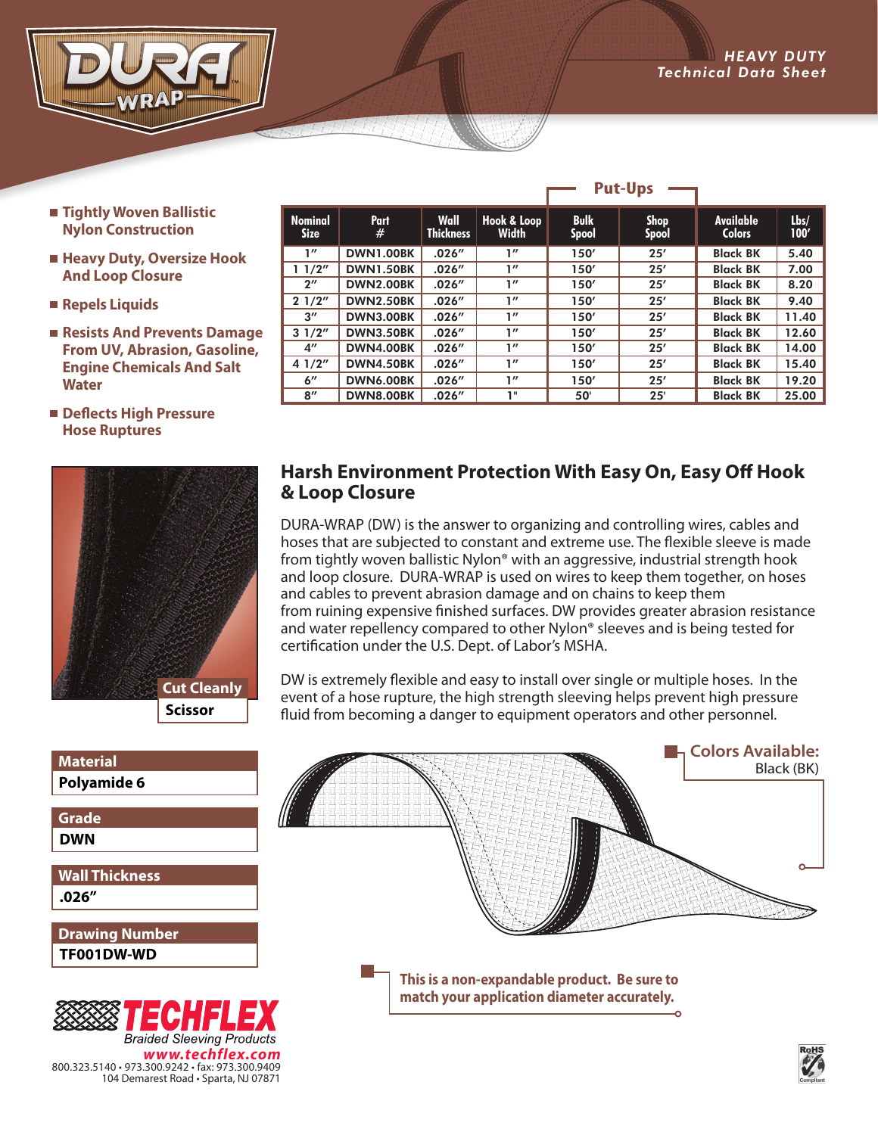- *ADVANCED ENGINEERING* Technical Data Sheet Sheet Sheet Sheet Sheet Sheet Sheet Sheet Sheet Sheet Sheet Sheet Sheet Sheet Sheet Sheet
	- **Tightly Woven Ballistic Nylon Construction**
	- **Heavy Duty, Oversize Hook And Loop Closure**
	- **Repels Liquids**
	- **Resists And Prevents Damage From UV, Abrasion, Gasoline, Engine Chemicals And Salt Water**
	- **Deflects High Pressure Hose Ruptures**



104 Demarest Road • Sparta, NJ 07871

| <b>Material</b>                                                     | <b>A</b> Colors Available:                                                                  |           |
|---------------------------------------------------------------------|---------------------------------------------------------------------------------------------|-----------|
| Polyamide 6                                                         | Black (BK)                                                                                  |           |
| Grade                                                               |                                                                                             |           |
| <b>DWN</b>                                                          |                                                                                             |           |
| <b>Wall Thickness</b>                                               |                                                                                             |           |
| .026''                                                              |                                                                                             |           |
| <b>Drawing Number</b>                                               |                                                                                             |           |
| TF001DW-WD                                                          |                                                                                             |           |
|                                                                     | This is a non-expandable product. Be sure to<br>match your application diameter accurately. |           |
| ECHFLEX                                                             |                                                                                             |           |
| <b>Braided Sleeving Products</b>                                    |                                                                                             |           |
| www.techflex.com<br>800.323.5140 · 973.300.9242 · fax: 973.300.9409 |                                                                                             | RoHS<br>V |

| <b>Nominal</b><br><b>Size</b> | <b>Part</b><br># | <b>Wall</b><br><b>Thickness</b> | Hook & Loop<br><b>Width</b> | <b>Bulk</b><br><b>Spool</b> | <b>Shop</b><br><b>Spool</b> | <b>Available</b><br><b>Colors</b> | Lbs/<br>100' |
|-------------------------------|------------------|---------------------------------|-----------------------------|-----------------------------|-----------------------------|-----------------------------------|--------------|
| 1''                           | <b>DWN1.00BK</b> | .026''                          | 1''                         | 150'                        | 25'                         | <b>Black BK</b>                   | 5.40         |
| 11/2"                         | <b>DWN1.50BK</b> | .026''                          | 1''                         | 150'                        | 25'                         | <b>Black BK</b>                   | 7.00         |
| $2^{\prime\prime}$            | <b>DWN2.00BK</b> | .026''                          | 1''                         | 150'                        | 25'                         | <b>Black BK</b>                   | 8.20         |
| 21/2"                         | <b>DWN2.50BK</b> | .026''                          | 1''                         | 150'                        | 25'                         | <b>Black BK</b>                   | 9.40         |
| $3^{\prime\prime}$            | <b>DWN3.00BK</b> | .026''                          | 1''                         | 150'                        | 25'                         | <b>Black BK</b>                   | 11.40        |
| 31/2"                         | <b>DWN3.50BK</b> | .026''                          | 1''                         | 150'                        | 25'                         | <b>Black BK</b>                   | 12.60        |
| $4^{\prime\prime}$            | <b>DWN4.00BK</b> | .026''                          | 1''                         | 150'                        | 25'                         | <b>Black BK</b>                   | 14.00        |
| 41/2"                         | <b>DWN4.50BK</b> | .026''                          | 1''                         | 150'                        | 25'                         | <b>Black BK</b>                   | 15.40        |
| $6^{\prime\prime}$            | DWN6.00BK        | .026''                          | 1''                         | 150'                        | 25'                         | <b>Black BK</b>                   | 19.20        |
| 8''                           | <b>DWN8.00BK</b> | .026''                          | 1"                          | 50'                         | 25'                         | <b>Black BK</b>                   | 25.00        |

**Put-Ups**

## **Harsh Environment Protection With Easy On, Easy Off Hook & Loop Closure**

DURA-WRAP (DW) is the answer to organizing and controlling wires, cables and hoses that are subjected to constant and extreme use. The flexible sleeve is made from tightly woven ballistic Nylon® with an aggressive, industrial strength hook and loop closure. DURA-WRAP is used on wires to keep them together, on hoses and cables to prevent abrasion damage and on chains to keep them from ruining expensive finished surfaces. DW provides greater abrasion resistance and water repellency compared to other Nylon® sleeves and is being tested for certification under the U.S. Dept. of Labor's MSHA.

DW is extremely flexible and easy to install over single or multiple hoses. In the event of a hose rupture, the high strength sleeving helps prevent high pressure fluid from becoming a danger to equipment operators and other personnel.